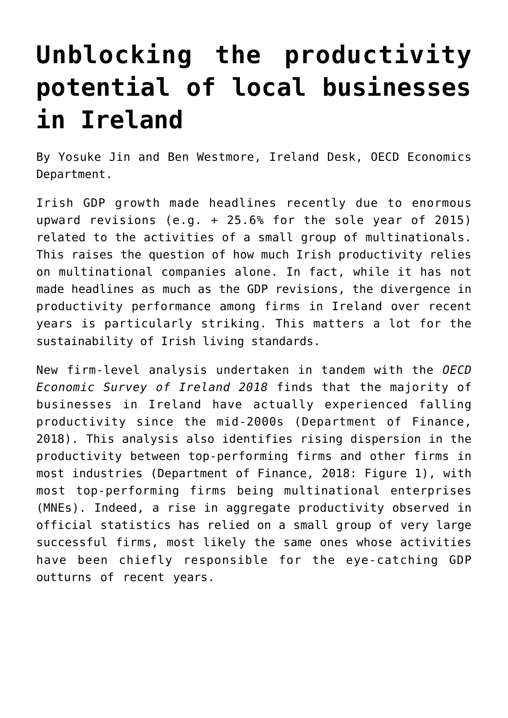## **[Unblocking the productivity](https://oecdecoscope.blog/2018/04/19/unblocking-the-productivity-potential-of-local-businesses-in-ireland/) [potential of local businesses](https://oecdecoscope.blog/2018/04/19/unblocking-the-productivity-potential-of-local-businesses-in-ireland/) [in Ireland](https://oecdecoscope.blog/2018/04/19/unblocking-the-productivity-potential-of-local-businesses-in-ireland/)**

By Yosuke Jin and Ben Westmore, Ireland Desk, OECD Economics Department.

Irish GDP growth made headlines recently due to enormous upward revisions (e.g. + 25.6% for the sole year of 2015) related to the activities of a small group of multinationals. This raises the question of how much Irish productivity relies on multinational companies alone. In fact, while it has not made headlines as much as the GDP revisions, the divergence in productivity performance among firms in Ireland over recent years is particularly striking. This matters a lot for the sustainability of Irish living standards.

New firm-level analysis undertaken in tandem with the *[OECD](http://www.oecd.org/eco/surveys/economic-survey-ireland.htm) [Economic Survey of Ireland 2018](http://www.oecd.org/eco/surveys/economic-survey-ireland.htm)* finds that the majority of businesses in Ireland have actually experienced falling productivity since the mid-2000s (Department of Finance, 2018). This analysis also identifies rising dispersion in the productivity between top-performing firms and other firms in most industries (Department of Finance, 2018: Figure 1), with most top-performing firms being multinational enterprises (MNEs). Indeed, a rise in aggregate productivity observed in official statistics has relied on a small group of very large successful firms, most likely the same ones whose activities have been chiefly responsible for the eye-catching GDP outturns of recent years.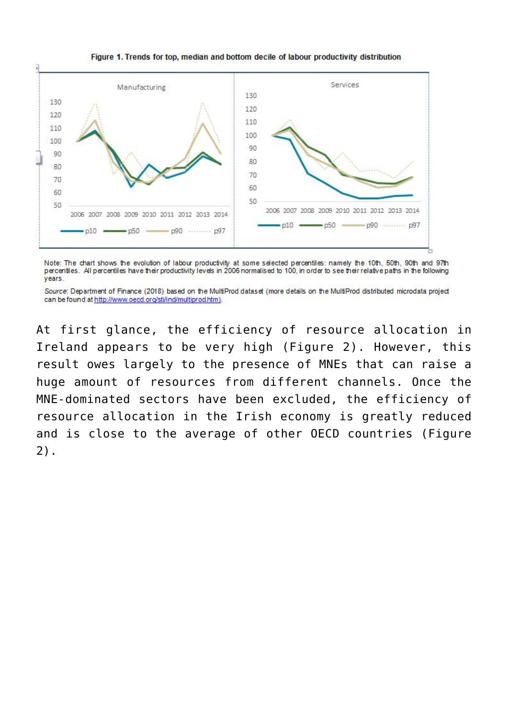## Figure 1. Trends for top, median and bottom decile of labour productivity distribution



Note: The chart shows the evolution of labour productivity at some selected percentiles: namely the 10th, 50th, 90th and 97th percentiles. All percentiles have their productivity levels in 2006 normalised to 100, in order to see their relative paths in the following vears.

Source: Department of Finance (2018) based on the MultiProd dataset (more details on the MultiProd distributed microdata project can be found at http://www.oecd.org/sti/ind/multiprod.htm).

At first glance, the efficiency of resource allocation in Ireland appears to be very high (Figure 2). However, this result owes largely to the presence of MNEs that can raise a huge amount of resources from different channels. Once the MNE-dominated sectors have been excluded, the efficiency of resource allocation in the Irish economy is greatly reduced and is close to the average of other OECD countries (Figure 2).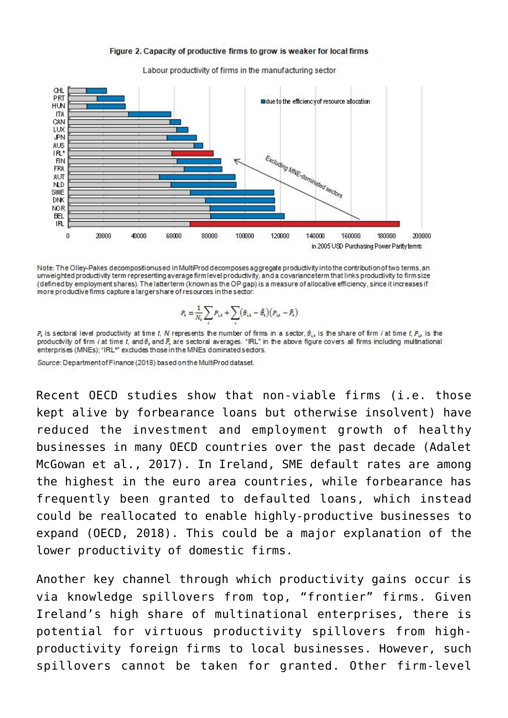



Labour productivity of firms in the manufacturing sector

Note: The Olley-Pakes decompositionused in MultiProd decomposes aggregate productivity into the contribution of two terms, an unweighted productivity term representing average firm level productivity, and a covariance term that links productivity to firm size (defined by employment shares). The latterterm (known as the OP gap) is a measure of allocative efficiency, since it increases if more productive firms capture a larger share of resources in the sector:

$$
P_{\rm t}=\!\frac{1}{N_{\rm t}}\!\sum_i P_{i\star}+\sum_i\!\left(\theta_{i\star}-\bar{\theta_{\rm t}}\right)\!\left(P_{i\star}-\bar{P_{\rm t}}\right)
$$

 $P_k$  is sectoral level productivity at time t, N represents the number of firms in a sector,  $\theta_{ik}$  is the share of firm *i* at time t,  $P_{ik}$  is the productivity of firm i at time t, and  $\theta$ , and  $\bar{E}$ , are sectoral averages. "IRL" in the above figure covers all firms including multinational enterprises (MNEs); "IRL\*" excludes those in the MNEs dominated sectors.

Source: Department of Finance (2018) based on the MultiProd dataset.

Recent OECD studies show that non-viable firms (i.e. those kept alive by forbearance loans but otherwise insolvent) have reduced the investment and employment growth of healthy businesses in many OECD countries over the past decade (Adalet McGowan et al., 2017). In Ireland, SME default rates are among the highest in the euro area countries, while forbearance has frequently been granted to defaulted loans, which instead could be reallocated to enable highly-productive businesses to expand (OECD, 2018). This could be a major explanation of the lower productivity of domestic firms.

Another key channel through which productivity gains occur is via knowledge spillovers from top, "frontier" firms. Given Ireland's high share of multinational enterprises, there is potential for virtuous productivity spillovers from highproductivity foreign firms to local businesses. However, such spillovers cannot be taken for granted. Other firm-level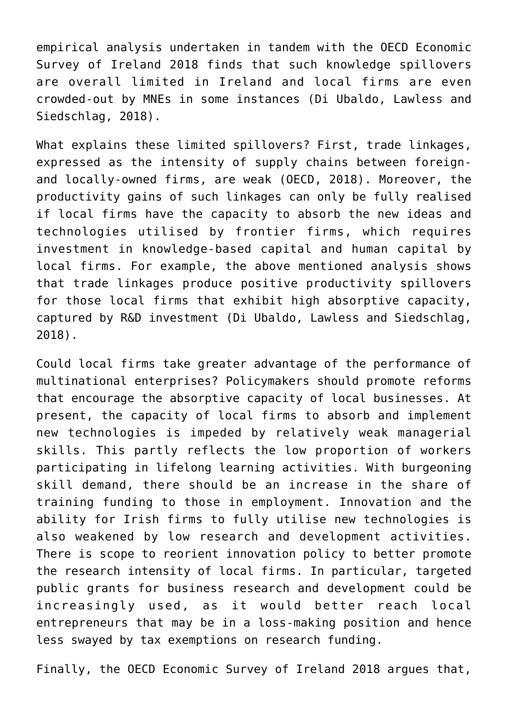empirical analysis undertaken in tandem with the OECD Economic Survey of Ireland 2018 finds that such knowledge spillovers are overall limited in Ireland and local firms are even crowded-out by MNEs in some instances (Di Ubaldo, Lawless and Siedschlag, 2018).

What explains these limited spillovers? First, trade linkages, expressed as the intensity of supply chains between foreignand locally-owned firms, are weak (OECD, 2018). Moreover, the productivity gains of such linkages can only be fully realised if local firms have the capacity to absorb the new ideas and technologies utilised by frontier firms, which requires investment in knowledge-based capital and human capital by local firms. For example, the above mentioned analysis shows that trade linkages produce positive productivity spillovers for those local firms that exhibit high absorptive capacity, captured by R&D investment (Di Ubaldo, Lawless and Siedschlag, 2018).

Could local firms take greater advantage of the performance of multinational enterprises? Policymakers should promote reforms that encourage the absorptive capacity of local businesses. At present, the capacity of local firms to absorb and implement new technologies is impeded by relatively weak managerial skills. This partly reflects the low proportion of workers participating in lifelong learning activities. With burgeoning skill demand, there should be an increase in the share of training funding to those in employment. Innovation and the ability for Irish firms to fully utilise new technologies is also weakened by low research and development activities. There is scope to reorient innovation policy to better promote the research intensity of local firms. In particular, targeted public grants for business research and development could be increasingly used, as it would better reach local entrepreneurs that may be in a loss-making position and hence less swayed by tax exemptions on research funding.

Finally, the OECD Economic Survey of Ireland 2018 argues that,